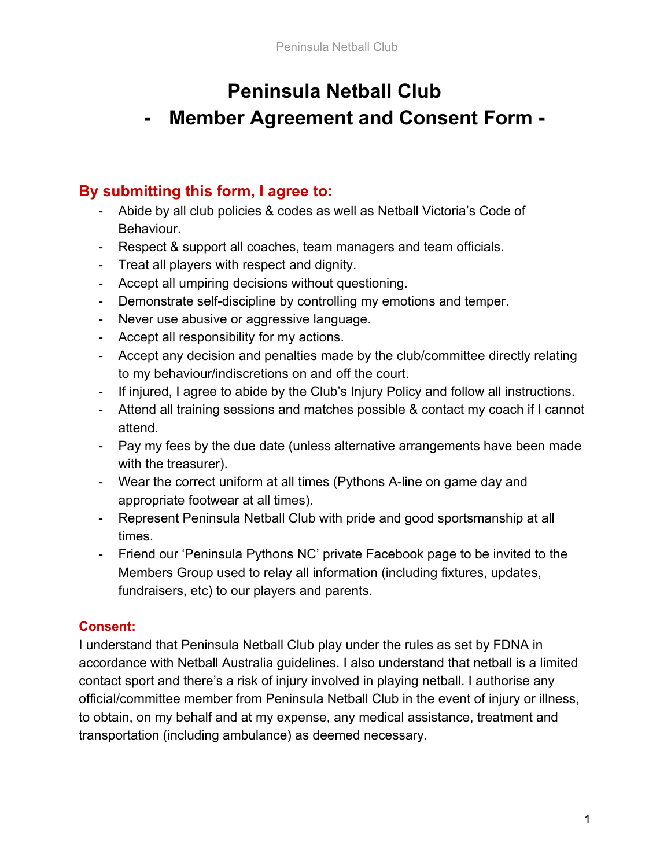## **Peninsula Netball Club**

# **- Member Agreement and Consent Form -**

### **By submitting this form, I agree to:**

- Abide by all club policies & codes as well as Netball Victoria's Code of Behaviour.
- Respect & support all coaches, team managers and team officials.
- Treat all players with respect and dignity.
- Accept all umpiring decisions without questioning.
- Demonstrate self-discipline by controlling my emotions and temper.
- Never use abusive or aggressive language.
- Accept all responsibility for my actions.
- Accept any decision and penalties made by the club/committee directly relating to my behaviour/indiscretions on and off the court.
- If injured, I agree to abide by the Club's Injury Policy and follow all instructions.
- Attend all training sessions and matches possible & contact my coach if I cannot attend.
- Pay my fees by the due date (unless alternative arrangements have been made with the treasurer).
- Wear the correct uniform at all times (Pythons A-line on game day and appropriate footwear at all times).
- Represent Peninsula Netball Club with pride and good sportsmanship at all times.
- Friend our 'Peninsula Pythons NC' private Facebook page to be invited to the Members Group used to relay all information (including fixtures, updates, fundraisers, etc) to our players and parents.

### **Consent:**

I understand that Peninsula Netball Club play under the rules as set by FDNA in accordance with Netball Australia guidelines. I also understand that netball is a limited contact sport and there's a risk of injury involved in playing netball. I authorise any official/committee member from Peninsula Netball Club in the event of injury or illness, to obtain, on my behalf and at my expense, any medical assistance, treatment and transportation (including ambulance) as deemed necessary.